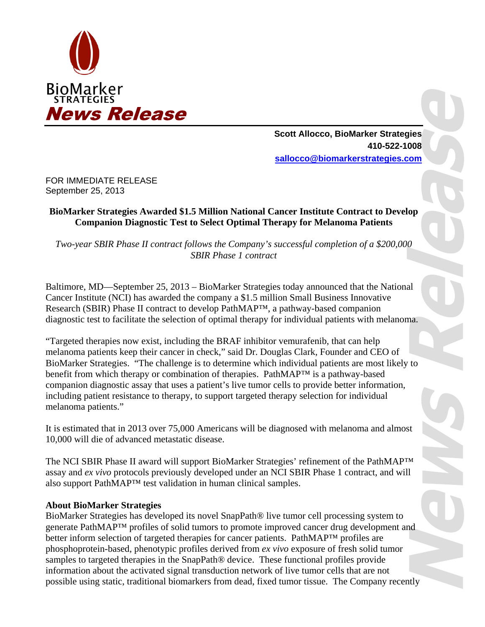

**Scott Allocco, BioMarker Strategies 410-522-1008 sallocco@biomarkerstrategies.com** 

FOR IMMEDIATE RELEASE September 25, 2013

## **BioMarker Strategies Awarded \$1.5 Million National Cancer Institute Contract to Develop Companion Diagnostic Test to Select Optimal Therapy for Melanoma Patients**

*Two-year SBIR Phase II contract follows the Company's successful completion of a \$200,000 SBIR Phase 1 contract* 

Baltimore, MD—September 25, 2013 – BioMarker Strategies today announced that the National Cancer Institute (NCI) has awarded the company a \$1.5 million Small Business Innovative Research (SBIR) Phase II contract to develop PathMAP™, a pathway-based companion diagnostic test to facilitate the selection of optimal therapy for individual patients with melanoma.

"Targeted therapies now exist, including the BRAF inhibitor vemurafenib, that can help melanoma patients keep their cancer in check," said Dr. Douglas Clark, Founder and CEO of BioMarker Strategies. "The challenge is to determine which individual patients are most likely to benefit from which therapy or combination of therapies. PathMAP™ is a pathway-based companion diagnostic assay that uses a patient's live tumor cells to provide better information, including patient resistance to therapy, to support targeted therapy selection for individual melanoma patients."

It is estimated that in 2013 over 75,000 Americans will be diagnosed with melanoma and almost 10,000 will die of advanced metastatic disease.

The NCI SBIR Phase II award will support BioMarker Strategies' refinement of the PathMAP™ assay and *ex vivo* protocols previously developed under an NCI SBIR Phase 1 contract, and will also support PathMAP™ test validation in human clinical samples.

## **About BioMarker Strategies**

BioMarker Strategies has developed its novel SnapPath® live tumor cell processing system to generate PathMAP™ profiles of solid tumors to promote improved cancer drug development and better inform selection of targeted therapies for cancer patients. PathMAP™ profiles are phosphoprotein-based, phenotypic profiles derived from *ex vivo* exposure of fresh solid tumor samples to targeted therapies in the SnapPath® device. These functional profiles provide information about the activated signal transduction network of live tumor cells that are not possible using static, traditional biomarkers from dead, fixed tumor tissue. The Company recently